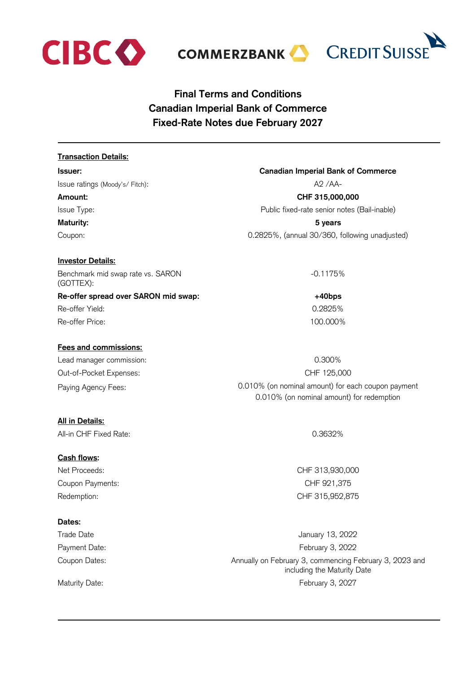



## **Final Terms and Conditions Canadian Imperial Bank of Commerce Fixed-Rate Notes due February 2027**

## **Transaction Details: Issuer: Canadian Imperial Bank of Commerce** Issue ratings (Moody's/ Fitch): A2 /AA-**Amount: CHF 315,000,000** Issue Type: Public fixed-rate senior notes (Bail-inable) **Maturity: 5 years** Coupon: 0.2825%, (annual 30/360, following unadjusted) **Investor Details:** Benchmark mid swap rate vs. SARON (GOTTEX): -0.1175% **Re-offer spread over SARON mid swap: +40bps** Re-offer Yield: 0.2825% Re-offer Price: 100.000% **Fees and commissions:** Lead manager commission: 0.300% Out-of-Pocket Expenses: CHF 125,000 Paying Agency Fees: 0.010% (on nominal amount) for each coupon payment 0.010% (on nominal amount) for redemption **All in Details:** All-in CHF Fixed Rate: 0.3632%

**Cash flows:** Coupon Payments: Coupon Payments:

## **Dates:**

Net Proceeds: CHF 313,930,000 Redemption: CHF 315,952,875

Trade Date **January 13, 2022** Payment Date: February 3, 2022 Coupon Dates: Annually on February 3, commencing February 3, 2023 and including the Maturity Date Maturity Date: February 3, 2027